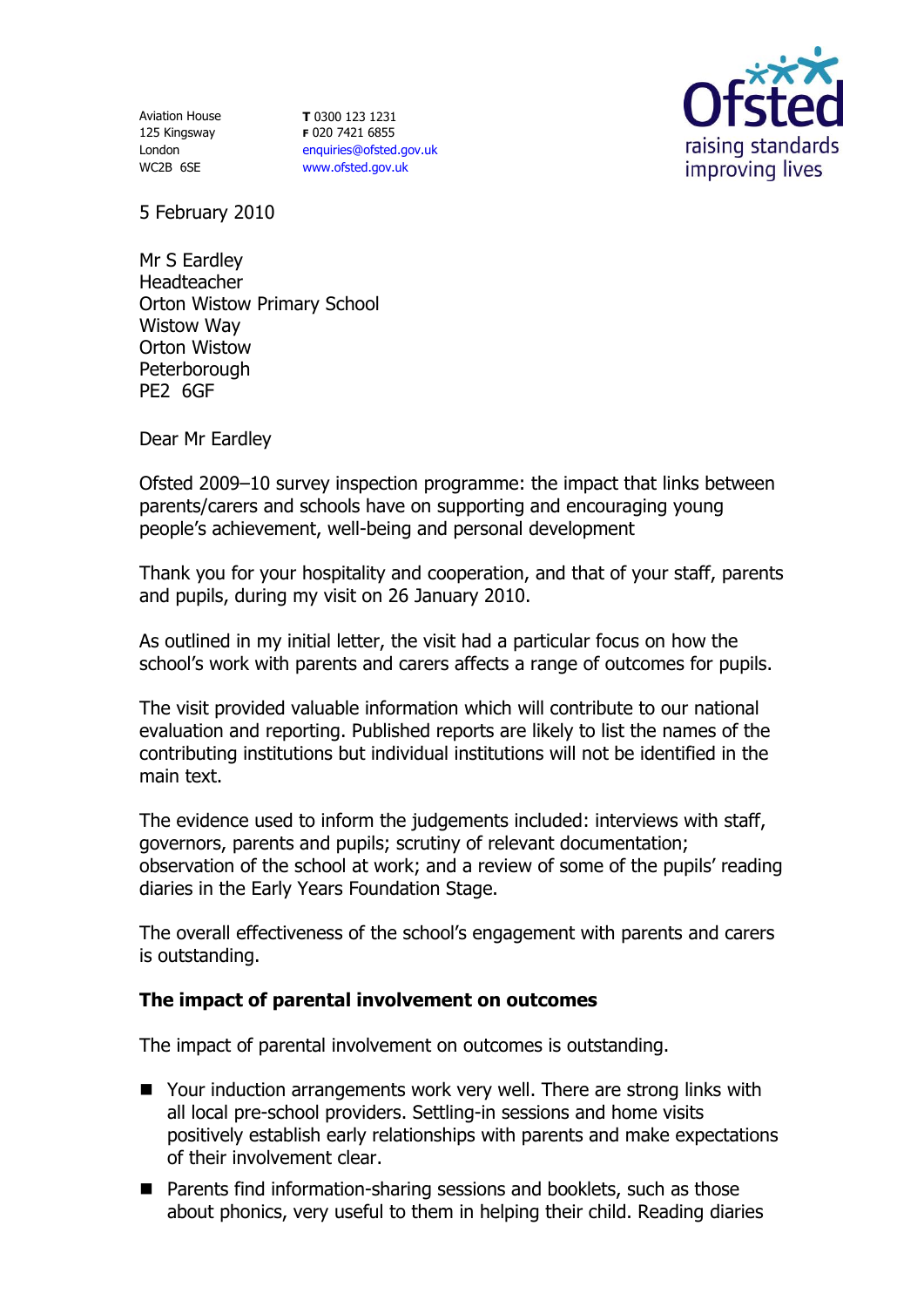125 Kingsway London WC2B 6SE

Aviation House **T** 0300 123 1231 **F** 020 7421 6855 [enquiries@ofsted.gov.uk](mailto:enquiries@ofsted.gov.uk) [www.ofsted.gov.uk](http://www.ofsted.gov.uk/)



5 February 2010

Mr S Eardley Headteacher Orton Wistow Primary School Wistow Way Orton Wistow **Peterborough** PE2 6GF

Dear Mr Eardley

Ofsted 2009–10 survey inspection programme: the impact that links between parents/carers and schools have on supporting and encouraging young people's achievement, well-being and personal development

Thank you for your hospitality and cooperation, and that of your staff, parents and pupils, during my visit on 26 January 2010.

As outlined in my initial letter, the visit had a particular focus on how the school's work with parents and carers affects a range of outcomes for pupils.

The visit provided valuable information which will contribute to our national evaluation and reporting. Published reports are likely to list the names of the contributing institutions but individual institutions will not be identified in the main text.

The evidence used to inform the judgements included: interviews with staff, governors, parents and pupils; scrutiny of relevant documentation; observation of the school at work; and a review of some of the pupils' reading diaries in the Early Years Foundation Stage.

The overall effectiveness of the school's engagement with parents and carers is outstanding.

# **The impact of parental involvement on outcomes**

The impact of parental involvement on outcomes is outstanding.

- Your induction arrangements work very well. There are strong links with all local pre-school providers. Settling-in sessions and home visits positively establish early relationships with parents and make expectations of their involvement clear.
- **Parents find information-sharing sessions and booklets, such as those** about phonics, very useful to them in helping their child. Reading diaries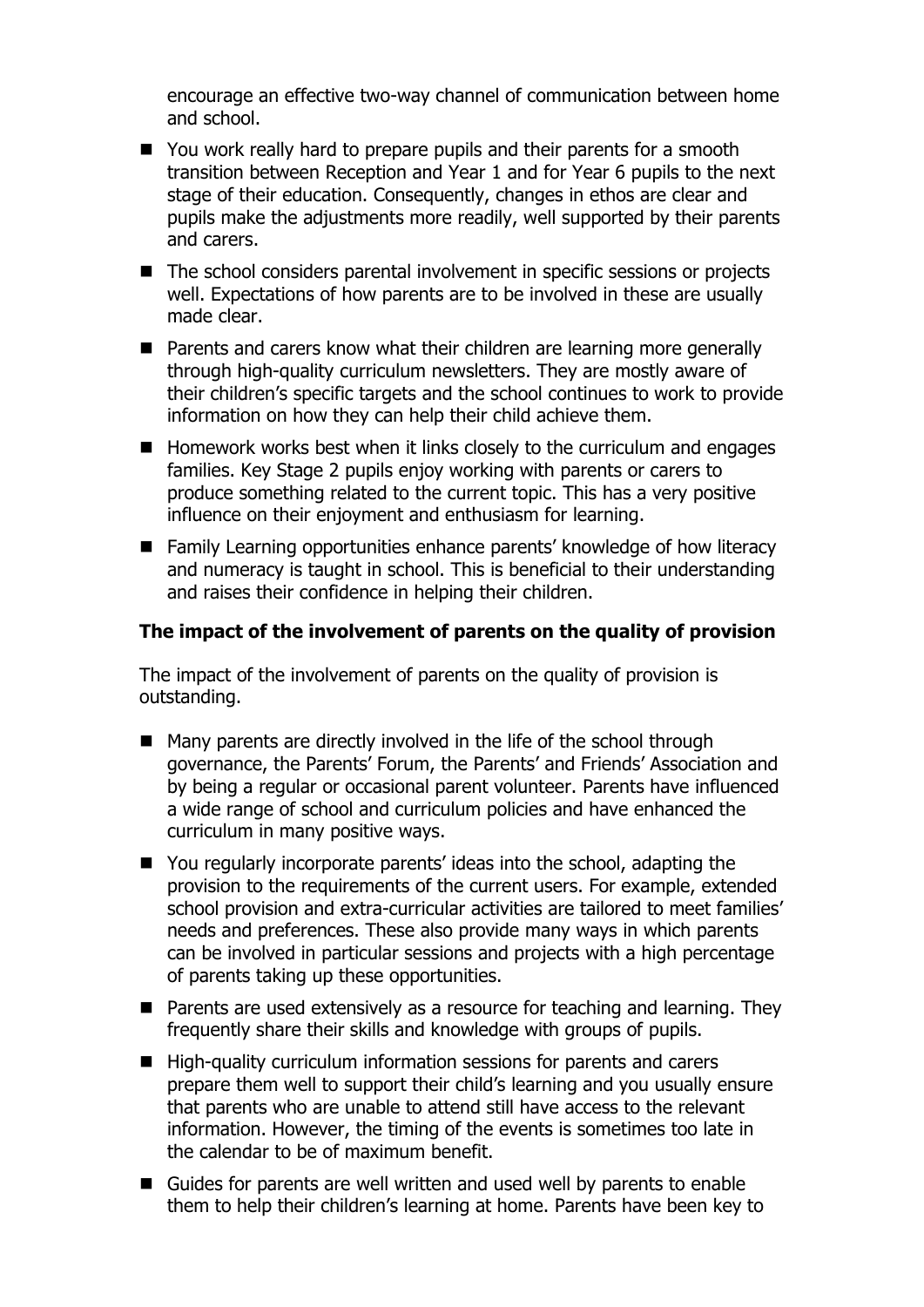encourage an effective two-way channel of communication between home and school.

- You work really hard to prepare pupils and their parents for a smooth transition between Reception and Year 1 and for Year 6 pupils to the next stage of their education. Consequently, changes in ethos are clear and pupils make the adjustments more readily, well supported by their parents and carers.
- The school considers parental involvement in specific sessions or projects well. Expectations of how parents are to be involved in these are usually made clear.
- Parents and carers know what their children are learning more generally through high-quality curriculum newsletters. They are mostly aware of their children's specific targets and the school continues to work to provide information on how they can help their child achieve them.
- Homework works best when it links closely to the curriculum and engages families. Key Stage 2 pupils enjoy working with parents or carers to produce something related to the current topic. This has a very positive influence on their enjoyment and enthusiasm for learning.
- Family Learning opportunities enhance parents' knowledge of how literacy and numeracy is taught in school. This is beneficial to their understanding and raises their confidence in helping their children.

## **The impact of the involvement of parents on the quality of provision**

The impact of the involvement of parents on the quality of provision is outstanding.

- Many parents are directly involved in the life of the school through governance, the Parents' Forum, the Parents' and Friends' Association and by being a regular or occasional parent volunteer. Parents have influenced a wide range of school and curriculum policies and have enhanced the curriculum in many positive ways.
- You regularly incorporate parents' ideas into the school, adapting the provision to the requirements of the current users. For example, extended school provision and extra-curricular activities are tailored to meet families' needs and preferences. These also provide many ways in which parents can be involved in particular sessions and projects with a high percentage of parents taking up these opportunities.
- **Parents are used extensively as a resource for teaching and learning. They** frequently share their skills and knowledge with groups of pupils.
- High-quality curriculum information sessions for parents and carers prepare them well to support their child's learning and you usually ensure that parents who are unable to attend still have access to the relevant information. However, the timing of the events is sometimes too late in the calendar to be of maximum benefit.
- Guides for parents are well written and used well by parents to enable them to help their children's learning at home. Parents have been key to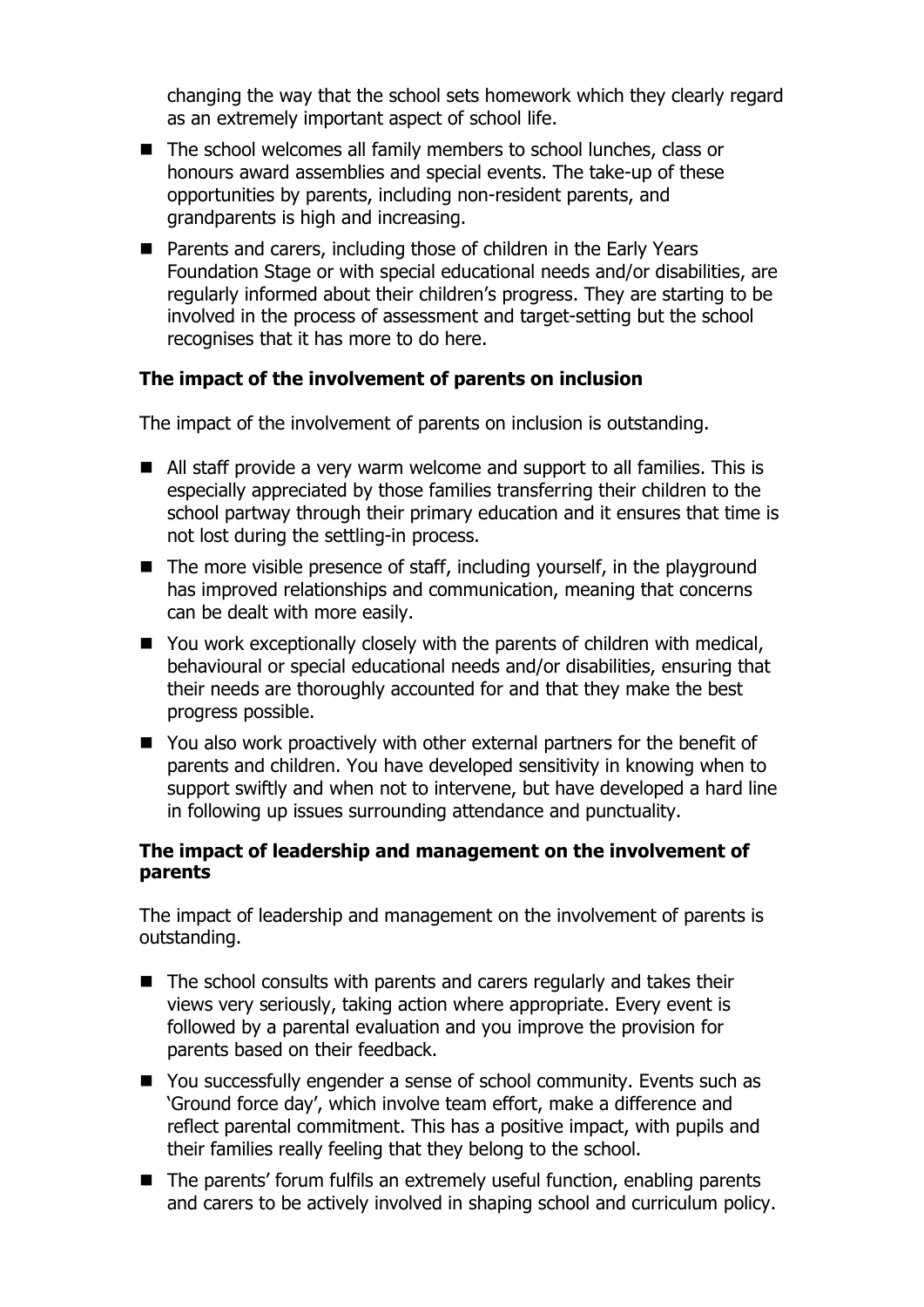changing the way that the school sets homework which they clearly regard as an extremely important aspect of school life.

- The school welcomes all family members to school lunches, class or honours award assemblies and special events. The take-up of these opportunities by parents, including non-resident parents, and grandparents is high and increasing.
- Parents and carers, including those of children in the Early Years Foundation Stage or with special educational needs and/or disabilities, are regularly informed about their children's progress. They are starting to be involved in the process of assessment and target-setting but the school recognises that it has more to do here.

## **The impact of the involvement of parents on inclusion**

The impact of the involvement of parents on inclusion is outstanding.

- All staff provide a very warm welcome and support to all families. This is especially appreciated by those families transferring their children to the school partway through their primary education and it ensures that time is not lost during the settling-in process.
- $\blacksquare$  The more visible presence of staff, including yourself, in the playground has improved relationships and communication, meaning that concerns can be dealt with more easily.
- You work exceptionally closely with the parents of children with medical, behavioural or special educational needs and/or disabilities, ensuring that their needs are thoroughly accounted for and that they make the best progress possible.
- You also work proactively with other external partners for the benefit of parents and children. You have developed sensitivity in knowing when to support swiftly and when not to intervene, but have developed a hard line in following up issues surrounding attendance and punctuality.

## **The impact of leadership and management on the involvement of parents**

The impact of leadership and management on the involvement of parents is outstanding.

- $\blacksquare$  The school consults with parents and carers regularly and takes their views very seriously, taking action where appropriate. Every event is followed by a parental evaluation and you improve the provision for parents based on their feedback.
- You successfully engender a sense of school community. Events such as 'Ground force day', which involve team effort, make a difference and reflect parental commitment. This has a positive impact, with pupils and their families really feeling that they belong to the school.
- The parents' forum fulfils an extremely useful function, enabling parents and carers to be actively involved in shaping school and curriculum policy.